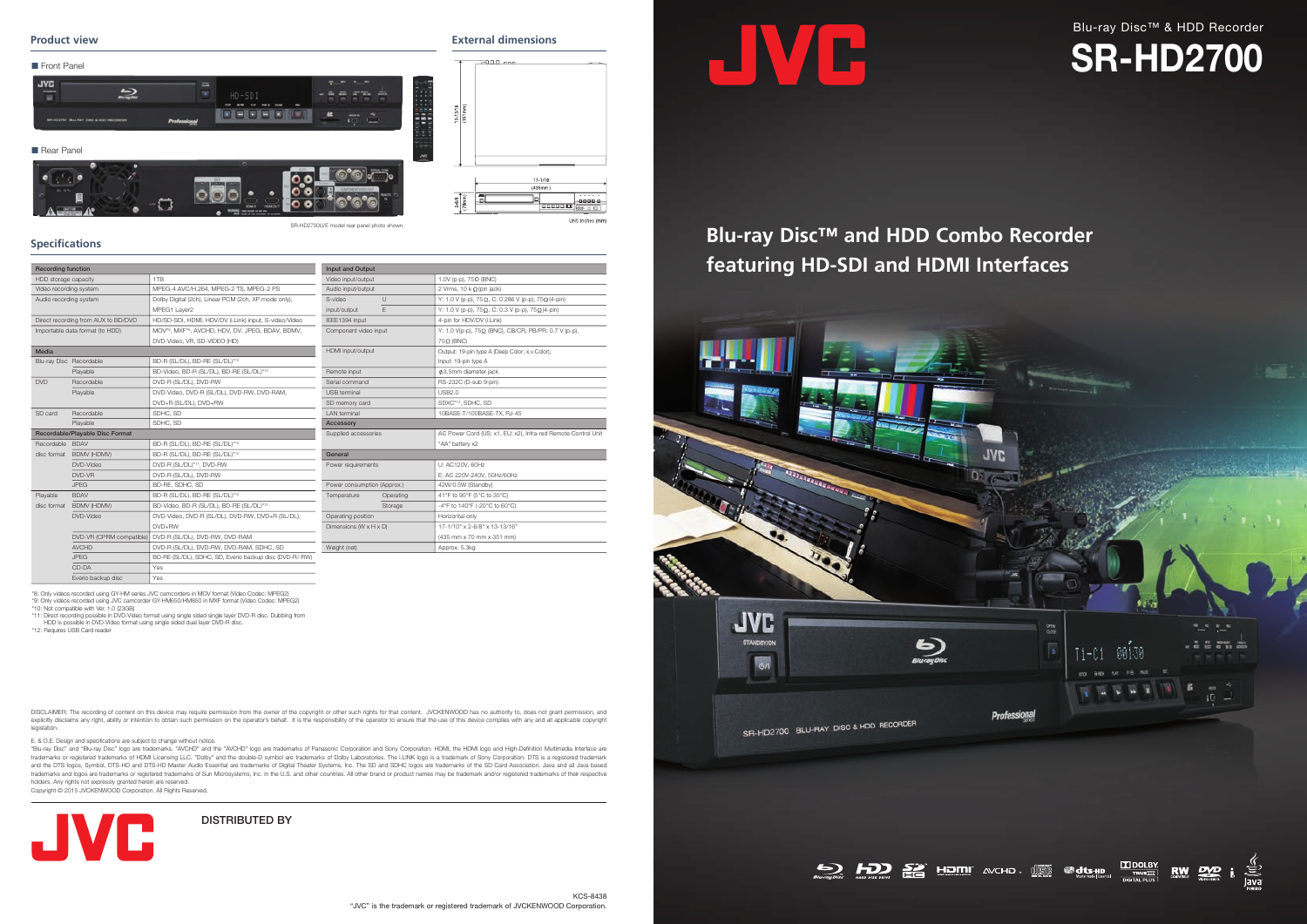DISTRIBUTED BY



E. & O.E. Design and specifications are subject to change without notice.

"Blu-ray Disc" and "Blu-ray Disc" logo are trademarks. "AVCHD" and the "AVCHD" logo are trademarks of Panasonic Corporation and Sony Corporation. HDMI, the HDMI logo and High-Definition Multimedia Interface are trademarks or registered trademarks of HDMI Licensing LLC. "Dolby" and the double-D symbol are trademarks of Dolby Laboratories. The i.LINK logo is a trademark of Sony Corporation. DTS is a registered trademark and the DTS logos, Symbol, DTS-HD and DTS-HD Master Audio Essential are trademarks of Digital Theater Systems, Inc. The SD and SDHC logos are trademarks of the SD Card Association. Java and all Java based trademarks and logos are trademarks or registered trademarks of Sun Microsystems, Inc. in the U.S. and other countries. All other brand or product names may be trademark and/or registered trademarks of their respective holders. Any rights not expressly granted herein are reserved.

DISCLAIMER: The recording of content on this device may require permission from the owner of the copyright or other such rights for that content. JVCKENWOOD has no authority to, does not grant permission, and explicitly disclaims any right, ability or intention to obtain such permission on the operator's behalf. It is the responsibility of the operator to ensure that the use of this device complies with any and all applicable c legislation.

Copyright © 2015 JVCKENWOOD Corporation. All Rights Reserved.









#### **Product view**

# **Specifications**

**External dimensions**

| <b>Recording function</b>           |                         |                                                         | <b>Input and Output</b>     |                                                               |  |
|-------------------------------------|-------------------------|---------------------------------------------------------|-----------------------------|---------------------------------------------------------------|--|
| HDD storage capacity                |                         | 1T <sub>B</sub>                                         | Video input/output          | 1.0V (p-p), 75Ω (BNC)                                         |  |
| Video recording system              |                         | MPEG-4 AVC/H.264, MPEG-2 TS, MPEG-2 PS                  | Audio input/output          | 2 Vrms, $10 \text{ k }\Omega$ (pin jack)                      |  |
| Audio recording system              |                         | Dolby Digital (2ch), Linear PCM (2ch, XP mode only),    | $\cup$<br>S-video           | Y: 1.0 V (p-p), 75 Ω, C: 0.286 V (p-p), 75 Ω (4-pin)          |  |
|                                     |                         | MPEG1 Layer2                                            | E<br>input/output           | Y: 1.0 V (p-p), 75Ω, C: 0.3 V (p-p), 75Ω (4-pin)              |  |
| Direct recording from AUX to BD/DVD |                         | HD/SD-SDI, HDMI, HDV/DV (i.Link) input, S-video/Video   | IEEE1394 input              | 4-pin for HDV/DV (i.Link)                                     |  |
| Importable data format (to HDD)     |                         | MOV*8, MXF*9, AVCHD, HDV, DV, JPEG, BDAV, BDMV,         | Component video input       | Υ: 1.0 V(p-p), 75Ω (BNC), CB/CR, PB/PR: 0.7 V (p-p),          |  |
|                                     |                         | DVD-Video, VR, SD-VIDEO (HD)                            |                             | $75\Omega$ (BNC)                                              |  |
| Media                               |                         |                                                         | HDMI input/output           | Output: 19-pin type A (Deep Color, x.v.Color);                |  |
|                                     | Blu-ray Disc Recordable | BD-R (SL/DL), BD-RE (SL/DL)*10                          |                             | Input: 19-pin type A                                          |  |
| Playable                            |                         | BD-Video, BD-R (SL/DL), BD-RE (SL/DL)*10                | Remote input                | Ø3.5mm diameter jack                                          |  |
| <b>DVD</b>                          | Recordable              | DVD-R (SL/DL), DVD-RW                                   | Serial command              | RS-232C (D-sub 9-pin)                                         |  |
|                                     | Playable                | DVD-Video, DVD-R (SL/DL), DVD-RW, DVD-RAM,              | USB terminal                | <b>USB2.0</b>                                                 |  |
|                                     |                         | DVD+R (SL/DL), DVD+RW                                   | SD memory card              | SDXC*12, SDHC, SD                                             |  |
| SD card                             | Recordable              | SDHC, SD                                                | <b>LAN</b> terminal         | 10BASE-T/100BASE-TX, RJ-45                                    |  |
|                                     | Playable                | SDHC, SD                                                | Accessory                   |                                                               |  |
| Recordable/Playable Disc Format     |                         |                                                         | Supplied accessories        | AC Power Cord (US: x1, EU: x2), Infra-red Remote Control Unit |  |
| Recordable BDAV                     |                         | BD-R (SL/DL), BD-RE (SL/DL)*10                          |                             | "AA" battery x2                                               |  |
|                                     | disc format BDMV (HDMV) | BD-R (SL/DL), BD-RE (SL/DL)*10                          | General                     |                                                               |  |
|                                     | DVD-Video               | DVD-R (SL/DL)*11, DVD-RW                                | Power requirements          | U: AC120V, 60Hz                                               |  |
|                                     | DVD-VR                  | DVD-R (SL/DL), DVD-RW                                   |                             | E: AC 220V-240V, 50Hz/60Hz                                    |  |
|                                     | <b>JPFG</b>             | BD-RE, SDHC, SD                                         | Power consumption (Approx.) | 42W/0.5W (Standby)                                            |  |
| Playable                            | <b>BDAV</b>             | BD-R (SL/DL), BD-RE (SL/DL)*10                          | Temperature<br>Operating    | 41°F to 95°F (5°C to 35°C)                                    |  |
|                                     | disc format BDMV (HDMV) | BD-Video, BD-R (SL/DL), BD-RE (SL/DL)*10                | Storage                     | -4°F to 140°F (-20°C to 60°C)                                 |  |
|                                     | DVD-Video               | DVD-Video, DVD-R (SL/DL), DVD-RW, DVD+R (SL/DL),        | Operating position          | Horizontal only                                               |  |
|                                     |                         | DVD+RW                                                  | Dimensions (W x H x D)      | 17-1/10" x 2-6/8" x 13-13/16"                                 |  |
| DVD-VR (CPRM compatible)            |                         | DVD-R (SL/DL), DVD-RW, DVD-RAM                          |                             | (435 mm x 70 mm x 351 mm)                                     |  |
|                                     | <b>AVCHD</b>            | DVD-R (SL/DL), DVD-RW, DVD-RAM, SDHC, SD                | Weight (net)                | Approx. 5.3kg                                                 |  |
|                                     | <b>JPEG</b>             | BD-RE (SL/DL), SDHC, SD, Everio backup disc (DVD-R/-RW) |                             |                                                               |  |
|                                     | CD-DA                   | Yes                                                     |                             |                                                               |  |

\*8: Only videos recorded using GY-HM series JVC camcorders in MOV format (Video Codec: MPEG2)<br>\*9: Only videos recorded using JVC camcorder GY-HM650/HM850 in MXF format (Video Codec: MPEG2)<br>\*10: Not compatible with Ver. 1.0

\*11: Direct recording possible in DVD-Video format using single sided single layer DVD-R disc. Dubbing from HDD is possible in DVD-Video format using single sided dual layer DVD-R disc.

\*12: Requires USB Card reader

Everio backup disc

# Blu-ray Disc™ & HDD Recorder **SR-HD2700**



# **Blu-ray Disc™ and HDD Combo Recorder featuring HD-SDI and HDMI Interfaces**